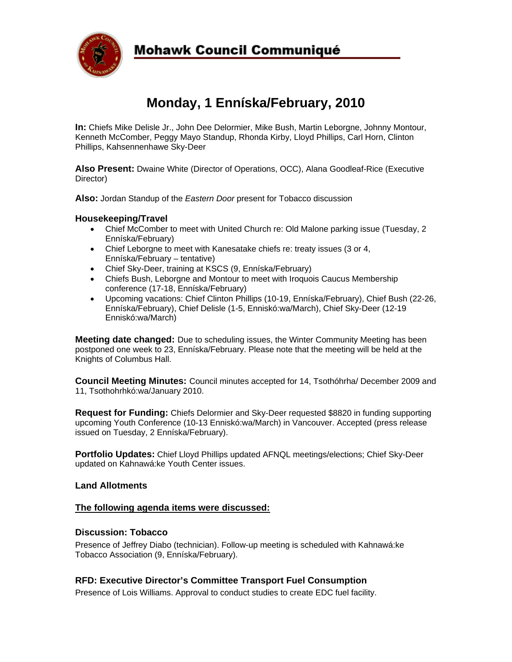

### **Mohawk Council Communiqué**

## **Monday, 1 Enníska/February, 2010**

**In:** Chiefs Mike Delisle Jr., John Dee Delormier, Mike Bush, Martin Leborgne, Johnny Montour, Kenneth McComber, Peggy Mayo Standup, Rhonda Kirby, Lloyd Phillips, Carl Horn, Clinton Phillips, Kahsennenhawe Sky-Deer

**Also Present:** Dwaine White (Director of Operations, OCC), Alana Goodleaf-Rice (Executive Director)

**Also:** Jordan Standup of the *Eastern Door* present for Tobacco discussion

#### **Housekeeping/Travel**

- Chief McComber to meet with United Church re: Old Malone parking issue (Tuesday, 2 Enníska/February)
- Chief Leborgne to meet with Kanesatake chiefs re: treaty issues (3 or 4, Enníska/February – tentative)
- Chief Sky-Deer, training at KSCS (9, Enníska/February)
- Chiefs Bush, Leborgne and Montour to meet with Iroquois Caucus Membership conference (17-18, Enníska/February)
- Upcoming vacations: Chief Clinton Phillips (10-19, Enníska/February), Chief Bush (22-26, Enníska/February), Chief Delisle (1-5, Enniskó:wa/March), Chief Sky-Deer (12-19 Enniskó:wa/March)

**Meeting date changed:** Due to scheduling issues, the Winter Community Meeting has been postponed one week to 23, Enníska/February. Please note that the meeting will be held at the Knights of Columbus Hall.

**Council Meeting Minutes:** Council minutes accepted for 14, Tsothóhrha/ December 2009 and 11, Tsothohrhkó:wa/January 2010.

**Request for Funding:** Chiefs Delormier and Sky-Deer requested \$8820 in funding supporting upcoming Youth Conference (10-13 Enniskó:wa/March) in Vancouver. Accepted (press release issued on Tuesday, 2 Enníska/February).

**Portfolio Updates:** Chief Lloyd Phillips updated AFNQL meetings/elections; Chief Sky-Deer updated on Kahnawá:ke Youth Center issues.

#### **Land Allotments**

#### **The following agenda items were discussed:**

#### **Discussion: Tobacco**

Presence of Jeffrey Diabo (technician). Follow-up meeting is scheduled with Kahnawá:ke Tobacco Association (9, Enníska/February).

#### **RFD: Executive Director's Committee Transport Fuel Consumption**

Presence of Lois Williams. Approval to conduct studies to create EDC fuel facility.